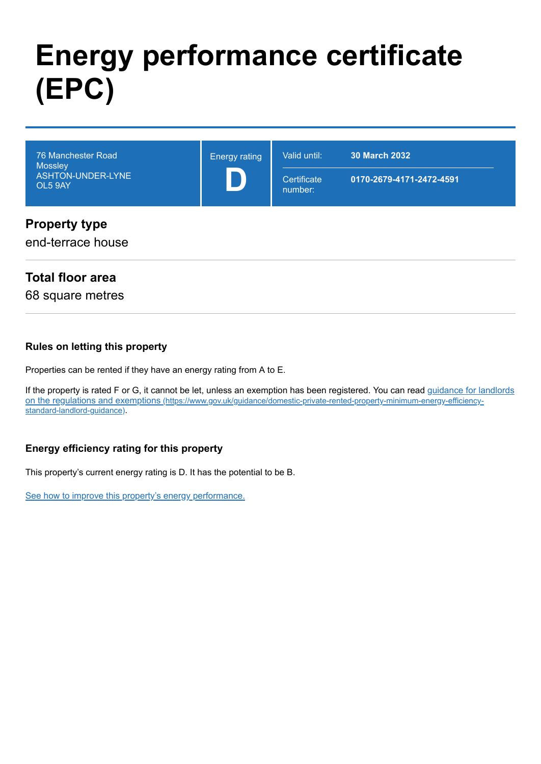# **Energy performance certificate (EPC)**

| 76 Manchester Road<br><b>Mossley</b><br>ASHTON-UNDER-LYNE<br>OL5 9AY | <b>Energy rating</b> | Valid until:           | <b>30 March 2032</b>     |
|----------------------------------------------------------------------|----------------------|------------------------|--------------------------|
|                                                                      |                      | Certificate<br>number: | 0170-2679-4171-2472-4591 |
| <b>Property type</b><br>end-terrace house                            |                      |                        |                          |

## **Total floor area**

68 square metres

#### **Rules on letting this property**

Properties can be rented if they have an energy rating from A to E.

[If the property is rated F or G, it cannot be let, unless an exemption has been registered. You can read guidance for landlords](https://www.gov.uk/guidance/domestic-private-rented-property-minimum-energy-efficiency-standard-landlord-guidance) on the regulations and exemptions (https://www.gov.uk/guidance/domestic-private-rented-property-minimum-energy-efficiencystandard-landlord-guidance).

#### **Energy efficiency rating for this property**

This property's current energy rating is D. It has the potential to be B.

[See how to improve this property's energy performance.](#page-3-0)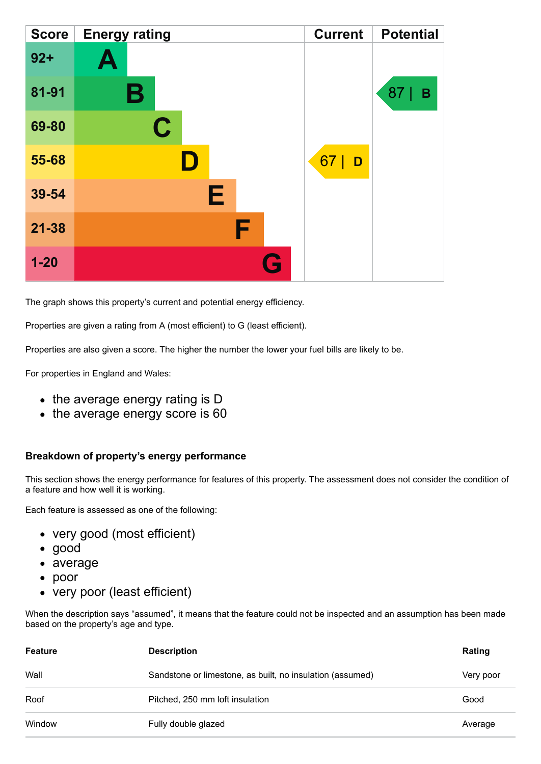| <b>Score</b> | <b>Energy rating</b> | <b>Current</b> | <b>Potential</b> |
|--------------|----------------------|----------------|------------------|
| $92 +$       | A                    |                |                  |
| 81-91        | В                    |                | 87<br>B          |
| 69-80        | $\mathbf C$          |                |                  |
| 55-68        |                      | 67<br>D        |                  |
| 39-54        | Е                    |                |                  |
| $21 - 38$    | F                    |                |                  |
| $1 - 20$     | Q                    |                |                  |

The graph shows this property's current and potential energy efficiency.

Properties are given a rating from A (most efficient) to G (least efficient).

Properties are also given a score. The higher the number the lower your fuel bills are likely to be.

For properties in England and Wales:

- the average energy rating is D
- the average energy score is 60

#### **Breakdown of property's energy performance**

This section shows the energy performance for features of this property. The assessment does not consider the condition of a feature and how well it is working.

Each feature is assessed as one of the following:

- very good (most efficient)
- good
- average
- poor
- very poor (least efficient)

When the description says "assumed", it means that the feature could not be inspected and an assumption has been made based on the property's age and type.

| <b>Feature</b> | <b>Description</b>                                        | Rating    |
|----------------|-----------------------------------------------------------|-----------|
| Wall           | Sandstone or limestone, as built, no insulation (assumed) | Very poor |
| Roof           | Pitched, 250 mm loft insulation                           | Good      |
| Window         | Fully double glazed                                       | Average   |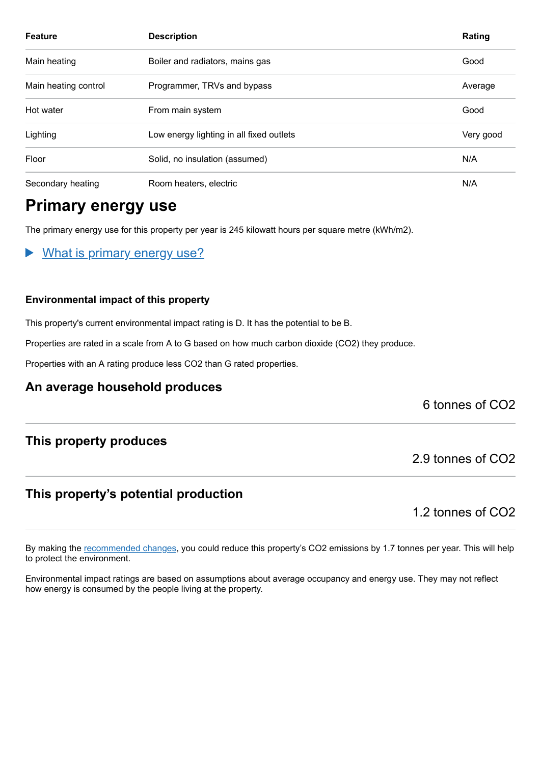| <b>Feature</b>       | <b>Description</b>                       | Rating    |
|----------------------|------------------------------------------|-----------|
| Main heating         | Boiler and radiators, mains gas          | Good      |
| Main heating control | Programmer, TRVs and bypass              | Average   |
| Hot water            | From main system                         | Good      |
| Lighting             | Low energy lighting in all fixed outlets | Very good |
| Floor                | Solid, no insulation (assumed)           | N/A       |
| Secondary heating    | Room heaters, electric                   | N/A       |

# **Primary energy use**

The primary energy use for this property per year is 245 kilowatt hours per square metre (kWh/m2).

What is primary energy use?  $\blacktriangleright$ 

#### **Environmental impact of this property**

This property's current environmental impact rating is D. It has the potential to be B.

Properties are rated in a scale from A to G based on how much carbon dioxide (CO2) they produce.

Properties with an A rating produce less CO2 than G rated properties.

#### **An average household produces**

6 tonnes of CO2

#### **This property produces**

#### **This property's potential production**

1.2 tonnes of CO2

2.9 tonnes of CO2

By making the [recommended changes,](#page-3-0) you could reduce this property's CO2 emissions by 1.7 tonnes per year. This will help to protect the environment.

Environmental impact ratings are based on assumptions about average occupancy and energy use. They may not reflect how energy is consumed by the people living at the property.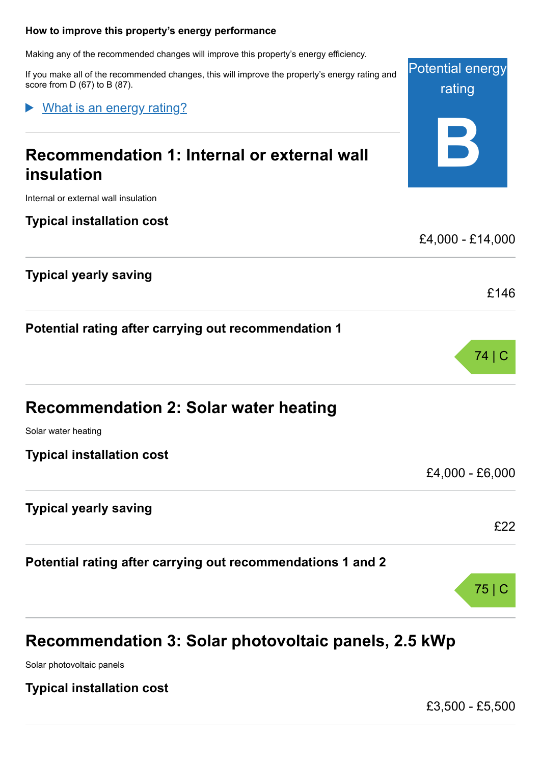#### <span id="page-3-0"></span>**How to improve this property's energy performance**

Making any of the recommended changes will improve this property's energy efficiency.

If you make all of the recommended changes, this will improve the property's energy rating and score from D (67) to B (87).

What is an energy rating?

# **Recommendation 1: Internal or external wall insulation**

Internal or external wall insulation

**Typical installation cost**

**Typical yearly saving**

**Potential rating after carrying out recommendation 1**

| <b>Recommendation 2: Solar water heating</b> |  |
|----------------------------------------------|--|
| Solar water heating.                         |  |

ar water heating

**Typical installation cost**

£4,000 - £6,000

**Typical yearly saving**

**Potential rating after carrying out recommendations 1 and 2**

# **Recommendation 3: Solar photovoltaic panels, 2.5 kWp**

Solar photovoltaic panels

**Typical installation cost**

£3,500 - £5,500



Potential energy rating **B**



£22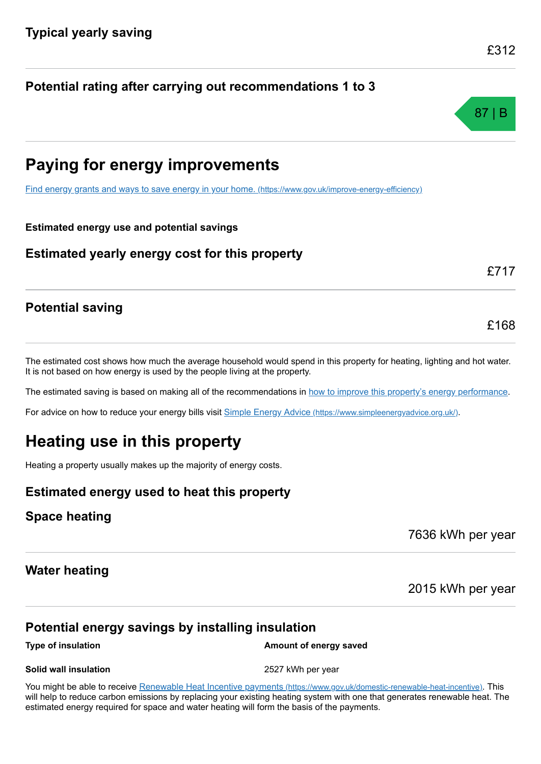# **Potential rating after carrying out recommendations 1 to 3**

# 87 | B

# **Paying for energy improvements**

[Find energy grants and ways to save energy in your home.](https://www.gov.uk/improve-energy-efficiency) (https://www.gov.uk/improve-energy-efficiency)

#### **Estimated energy use and potential savings**

#### **Estimated yearly energy cost for this property**

# £717

£168

## **Potential saving**

The estimated cost shows how much the average household would spend in this property for heating, lighting and hot water. It is not based on how energy is used by the people living at the property.

The estimated saving is based on making all of the recommendations in [how to improve this property's energy performance.](#page-3-0)

For advice on how to reduce your energy bills visit Simple Energy Advice [\(https://www.simpleenergyadvice.org.uk/\)](https://www.simpleenergyadvice.org.uk/).

# **Heating use in this property**

Heating a property usually makes up the majority of energy costs.

## **Estimated energy used to heat this property**

#### **Space heating**

7636 kWh per year

#### **Water heating**

2015 kWh per year

## **Potential energy savings by installing insulation**

**Type of insulation Amount of energy saved Amount of energy saved** 

#### **Solid wall insulation** 2527 kWh per year

You might be able to receive Renewable Heat Incentive payments [\(https://www.gov.uk/domestic-renewable-heat-incentive\)](https://www.gov.uk/domestic-renewable-heat-incentive). This will help to reduce carbon emissions by replacing your existing heating system with one that generates renewable heat. The estimated energy required for space and water heating will form the basis of the payments.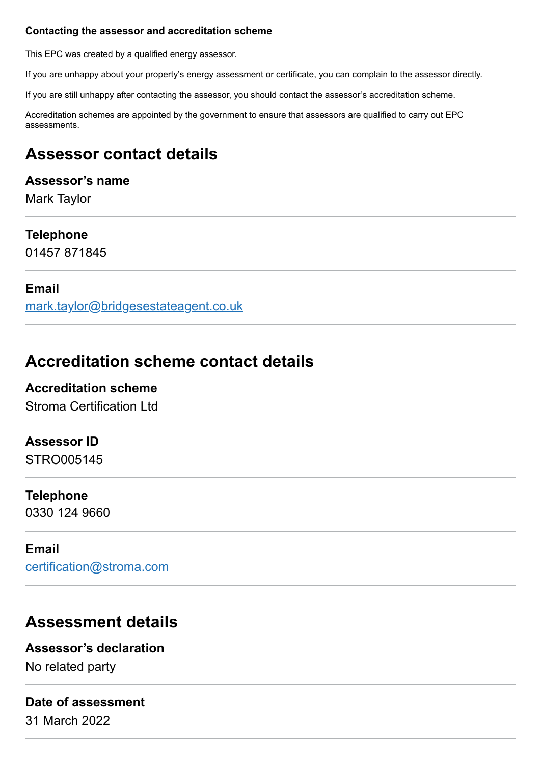#### **Contacting the assessor and accreditation scheme**

This EPC was created by a qualified energy assessor.

If you are unhappy about your property's energy assessment or certificate, you can complain to the assessor directly.

If you are still unhappy after contacting the assessor, you should contact the assessor's accreditation scheme.

Accreditation schemes are appointed by the government to ensure that assessors are qualified to carry out EPC assessments.

# **Assessor contact details**

## **Assessor's name**

Mark Taylor

# **Telephone**

01457 871845

## **Email**

[mark.taylor@bridgesestateagent.co.uk](mailto:mark.taylor@bridgesestateagent.co.uk)

# **Accreditation scheme contact details**

## **Accreditation scheme** Stroma Certification Ltd

## **Assessor ID**

STRO005145

## **Telephone**

0330 124 9660

#### **Email**

[certification@stroma.com](mailto:certification@stroma.com)

# **Assessment details**

## **Assessor's declaration**

No related party

# **Date of assessment**

31 March 2022